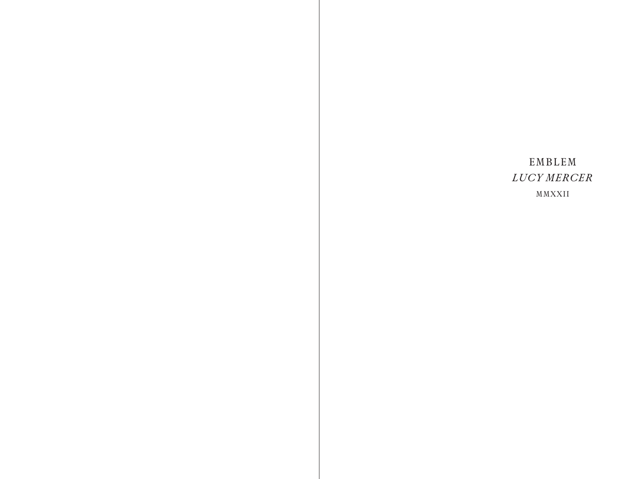# EMBLEM *LUCY MERCER* MMXXII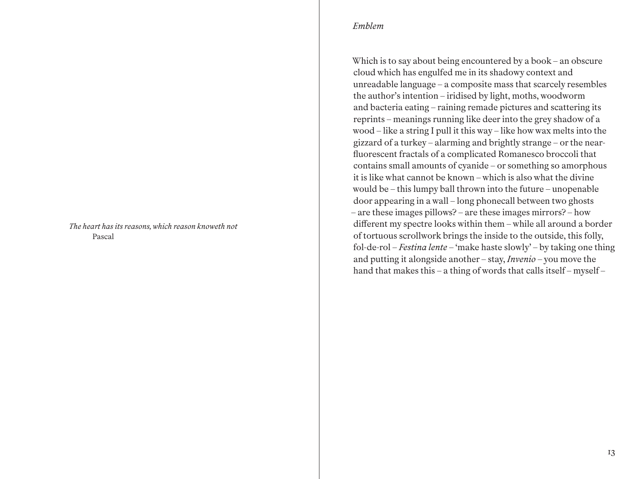*The heart has its reasons, which reason knoweth not* Pascal

#### *Emblem*

Which is to say about being encountered by a book – an obscure cloud which has engulfed me in its shadowy context and unreadable language – a composite mass that scarcely resembles the author's intention – iridised by light, moths, woodworm and bacteria eating – raining remade pictures and scattering its reprints – meanings running like deer into the grey shadow of a wood – like a string I pull it this way – like how wax melts into the gizzard of a turkey – alarming and brightly strange – or the nearfluorescent fractals of a complicated Romanesco broccoli that contains small amounts of cyanide – or something so amorphous it is like what cannot be known – which is also what the divine would be – this lumpy ball thrown into the future – unopenable door appearing in a wall – long phonecall between two ghosts – are these images pillows? – are these images mirrors? – how different my spectre looks within them – while all around a border of tortuous scrollwork brings the inside to the outside, this folly, fol-de-rol – *Festina lente* – 'make haste slowly' – by taking one thing and putting it alongside another – stay, *Invenio* – you move the hand that makes this – a thing of words that calls itself – myself –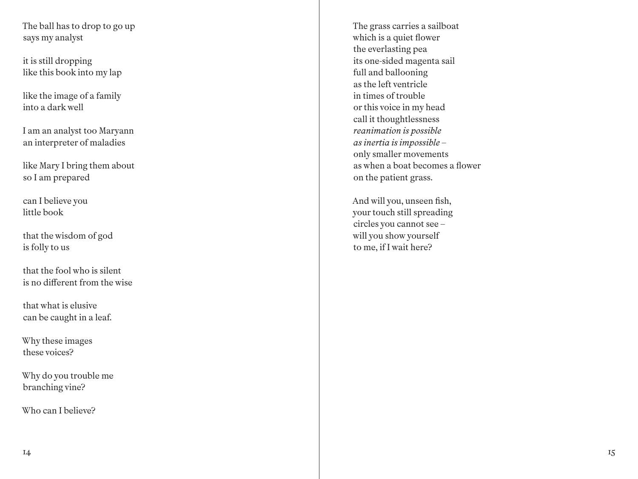The ball has to drop to go up says my analyst

it is still dropping like this book into my lap

like the image of a family into a dark well

I am an analyst too Maryann an interpreter of maladies

like Mary I bring them about so I am prepared

can I believe you little book

that the wisdom of god is folly to us

that the fool who is silent is no different from the wise

that what is elusive can be caught in a leaf.

Why these images these voices?

Why do you trouble me branching vine?

Who can I believe?

The grass carries a sailboat which is a quiet flower the everlasting pea its one-sided magenta sail full and ballooning as the left ventricle in times of trouble or this voice in my head call it thoughtlessness *reanimation is possible as inertia is impossible –* only smaller movements as when a boat becomes a flower on the patient grass.

And will you, unseen fish, your touch still spreading circles you cannot see – will you show yourself to me, if I wait here?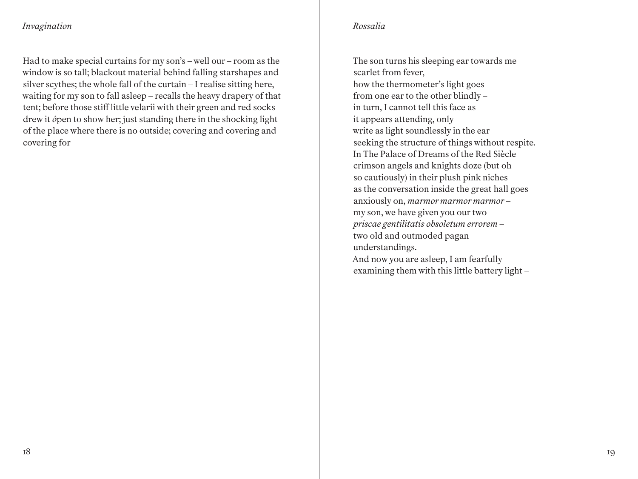# *Invagination*

Had to make special curtains for my son's – well our – room as the window is so tall; blackout material behind falling starshapes and silver scythes; the whole fall of the curtain – I realise sitting here, waiting for my son to fall asleep – recalls the heavy drapery of that tent; before those stiff little velarii with their green and red socks drew it *ô*pen to show her; just standing there in the shocking light of the place where there is no outside; covering and covering and covering for

## *Rossalia*

The son turns his sleeping ear towards me scarlet from fever, how the thermometer's light goes from one ear to the other blindly – in turn, I cannot tell this face as it appears attending, only write as light soundlessly in the ear seeking the structure of things without respite. In The Palace of Dreams of the Red Siècle crimson angels and knights doze (but oh so cautiously) in their plush pink niches as the conversation inside the great hall goes anxiously on, *marmor marmor marmor* – my son, we have given you our two *priscae gentilitatis obsoletum errorem* – two old and outmoded pagan understandings. And now you are asleep, I am fearfully examining them with this little battery light –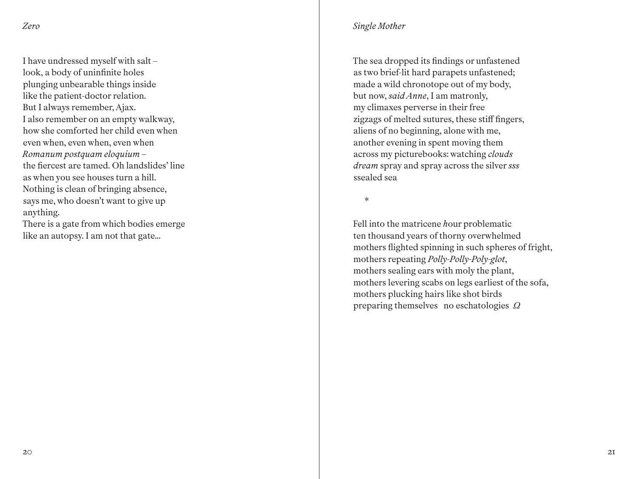I have undressed myself with salt – look, a body of uninfinite holes plunging unbearable things inside like the patient-doctor relation. But I always remember, Ajax. I also remember on an empty walkway, how she comforted her child even when even when, even when, even when *Romanum postquam eloquium* – the fiercest are tamed. Oh landslides' line as when you see houses turn a hill. Nothing is clean of bringing absence, says me, who doesn't want to give up anything. There is a gate from which bodies emerge

like an autopsy. I am not that gate...

## *Single Mother*

The sea dropped its findings or unfastened as two brief-lit hard parapets unfastened; made a wild chronotope out of my body, but now, *said Anne*, I am matronly, my climaxes perverse in their free zigzags of melted sutures, these stiff fingers, aliens of no beginning, alone with me, another evening in spent moving them across my picturebooks: watching *clouds dream* spray and spray across the silver *sss* ssealed sea

\*

Fell into the matricene *h*our problematic ten thousand years of thorny overwhelmed mothers flighted spinning in such spheres of fright, mothers repeating *Polly-Polly-Poly-glot*, mothers sealing ears with moly the plant, mothers levering scabs on legs earliest of the sofa, mothers plucking hairs like shot birds preparing themselves no eschatologies *Ω*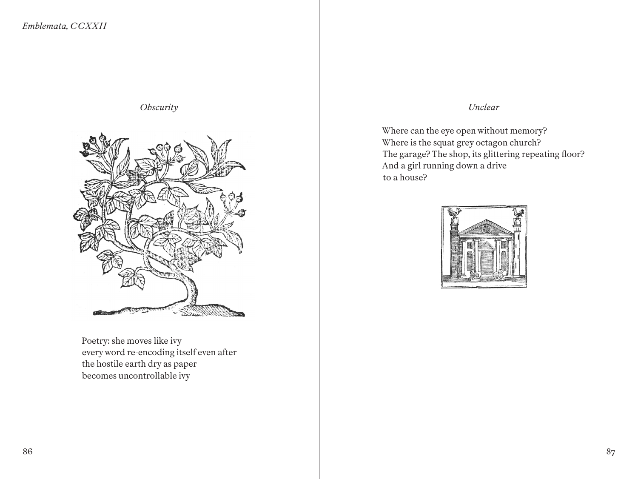#### *Obscurity*



Poetry: she moves like ivy every word re-encoding itself even after the hostile earth dry as paper becomes uncontrollable ivy

# *Unclear*

Where can the eye open without memory? Where is the squat grey octagon church? The garage? The shop, its glittering repeating floor? And a girl running down a drive to a house?